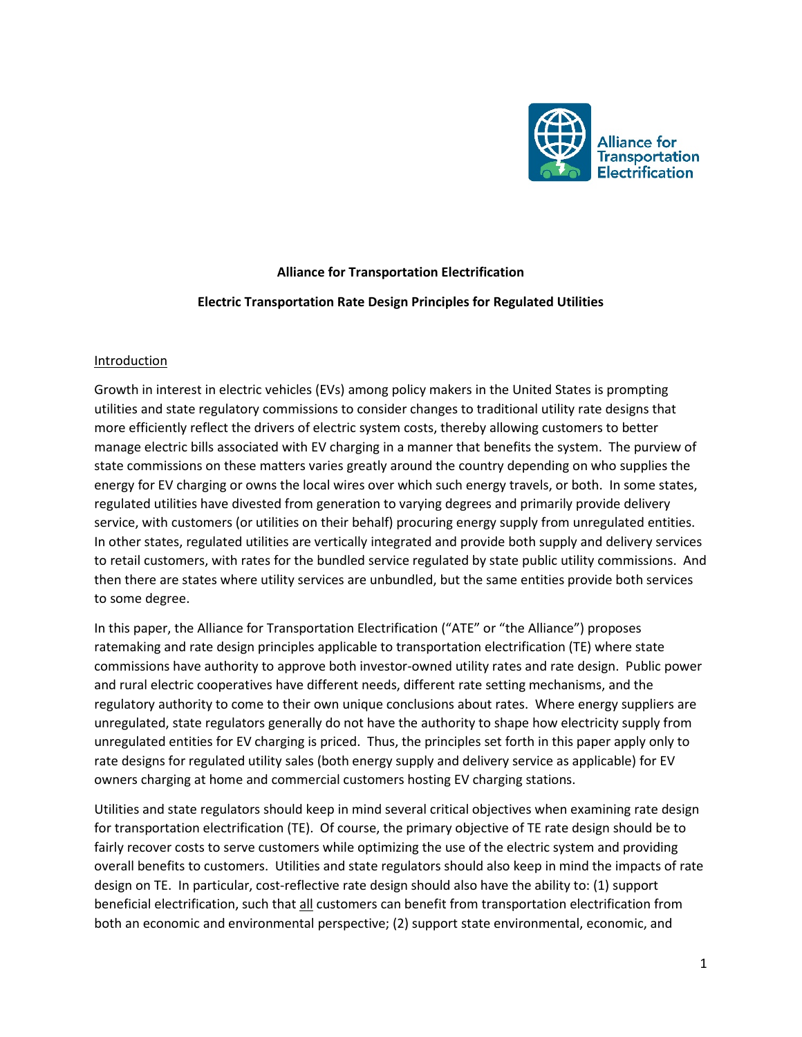

# **Alliance for Transportation Electrification**

#### **Electric Transportation Rate Design Principles for Regulated Utilities**

#### **Introduction**

Growth in interest in electric vehicles (EVs) among policy makers in the United States is prompting utilities and state regulatory commissions to consider changes to traditional utility rate designs that more efficiently reflect the drivers of electric system costs, thereby allowing customers to better manage electric bills associated with EV charging in a manner that benefits the system. The purview of state commissions on these matters varies greatly around the country depending on who supplies the energy for EV charging or owns the local wires over which such energy travels, or both. In some states, regulated utilities have divested from generation to varying degrees and primarily provide delivery service, with customers (or utilities on their behalf) procuring energy supply from unregulated entities. In other states, regulated utilities are vertically integrated and provide both supply and delivery services to retail customers, with rates for the bundled service regulated by state public utility commissions. And then there are states where utility services are unbundled, but the same entities provide both services to some degree.

In this paper, the Alliance for Transportation Electrification ("ATE" or "the Alliance") proposes ratemaking and rate design principles applicable to transportation electrification (TE) where state commissions have authority to approve both investor-owned utility rates and rate design. Public power and rural electric cooperatives have different needs, different rate setting mechanisms, and the regulatory authority to come to their own unique conclusions about rates. Where energy suppliers are unregulated, state regulators generally do not have the authority to shape how electricity supply from unregulated entities for EV charging is priced. Thus, the principles set forth in this paper apply only to rate designs for regulated utility sales (both energy supply and delivery service as applicable) for EV owners charging at home and commercial customers hosting EV charging stations.

Utilities and state regulators should keep in mind several critical objectives when examining rate design for transportation electrification (TE). Of course, the primary objective of TE rate design should be to fairly recover costs to serve customers while optimizing the use of the electric system and providing overall benefits to customers. Utilities and state regulators should also keep in mind the impacts of rate design on TE. In particular, cost-reflective rate design should also have the ability to: (1) support beneficial electrification, such that all customers can benefit from transportation electrification from both an economic and environmental perspective; (2) support state environmental, economic, and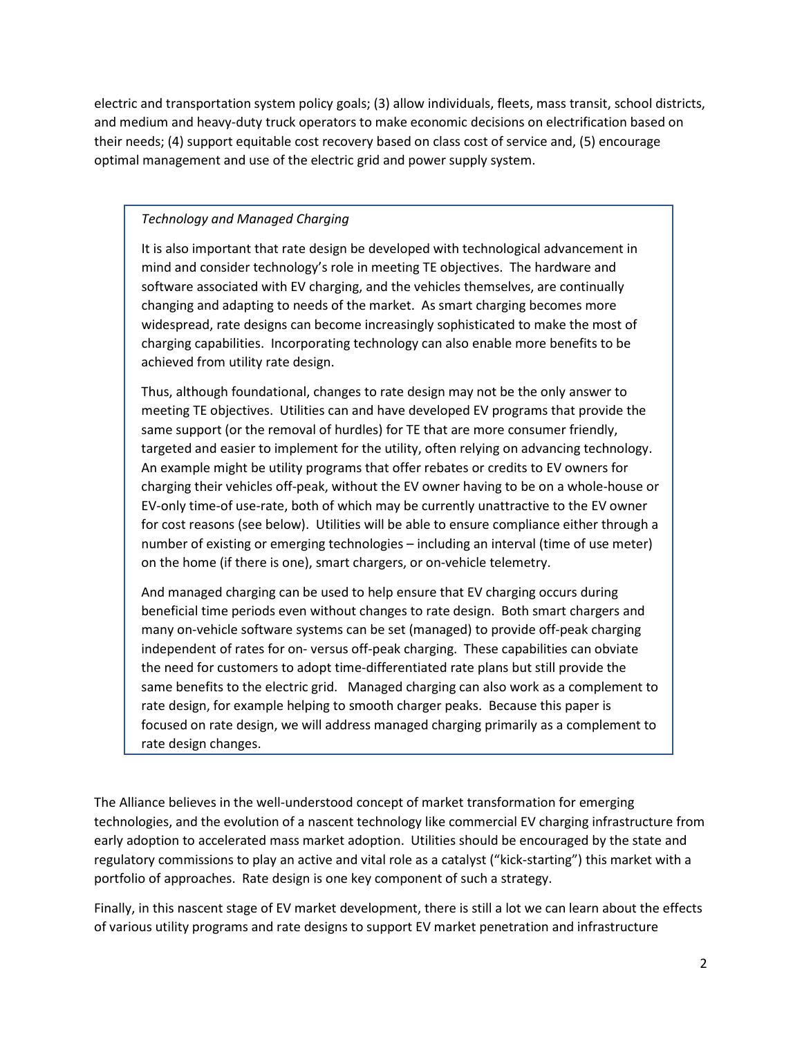electric and transportation system policy goals; (3) allow individuals, fleets, mass transit, school districts, and medium and heavy-duty truck operators to make economic decisions on electrification based on their needs; (4) support equitable cost recovery based on class cost of service and, (5) encourage optimal management and use of the electric grid and power supply system.

# *Technology and Managed Charging*

It is also important that rate design be developed with technological advancement in mind and consider technology's role in meeting TE objectives. The hardware and software associated with EV charging, and the vehicles themselves, are continually changing and adapting to needs of the market. As smart charging becomes more widespread, rate designs can become increasingly sophisticated to make the most of charging capabilities. Incorporating technology can also enable more benefits to be achieved from utility rate design.

Thus, although foundational, changes to rate design may not be the only answer to meeting TE objectives. Utilities can and have developed EV programs that provide the same support (or the removal of hurdles) for TE that are more consumer friendly, targeted and easier to implement for the utility, often relying on advancing technology. An example might be utility programs that offer rebates or credits to EV owners for charging their vehicles off-peak, without the EV owner having to be on a whole-house or EV-only time-of use-rate, both of which may be currently unattractive to the EV owner for cost reasons (see below). Utilities will be able to ensure compliance either through a number of existing or emerging technologies – including an interval (time of use meter) on the home (if there is one), smart chargers, or on-vehicle telemetry.

And managed charging can be used to help ensure that EV charging occurs during beneficial time periods even without changes to rate design. Both smart chargers and many on-vehicle software systems can be set (managed) to provide off-peak charging independent of rates for on- versus off-peak charging. These capabilities can obviate the need for customers to adopt time-differentiated rate plans but still provide the same benefits to the electric grid. Managed charging can also work as a complement to rate design, for example helping to smooth charger peaks. Because this paper is focused on rate design, we will address managed charging primarily as a complement to rate design changes.

The Alliance believes in the well-understood concept of market transformation for emerging technologies, and the evolution of a nascent technology like commercial EV charging infrastructure from early adoption to accelerated mass market adoption. Utilities should be encouraged by the state and regulatory commissions to play an active and vital role as a catalyst ("kick-starting") this market with a portfolio of approaches. Rate design is one key component of such a strategy.

Finally, in this nascent stage of EV market development, there is still a lot we can learn about the effects of various utility programs and rate designs to support EV market penetration and infrastructure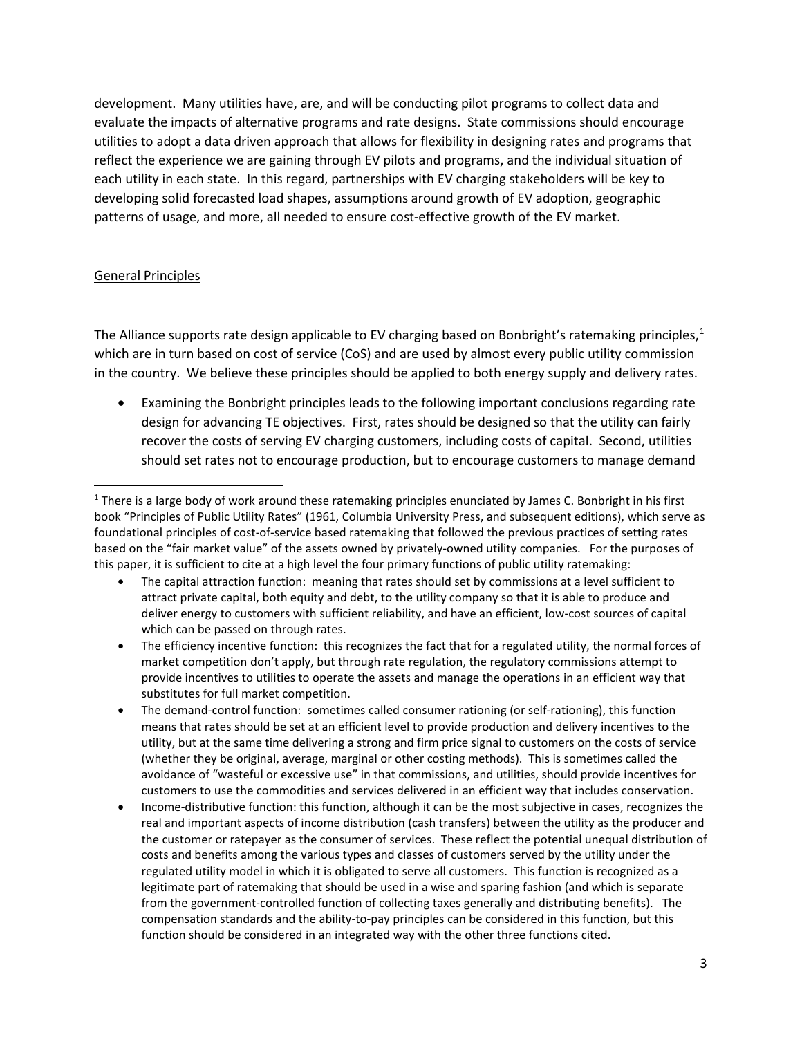development. Many utilities have, are, and will be conducting pilot programs to collect data and evaluate the impacts of alternative programs and rate designs. State commissions should encourage utilities to adopt a data driven approach that allows for flexibility in designing rates and programs that reflect the experience we are gaining through EV pilots and programs, and the individual situation of each utility in each state. In this regard, partnerships with EV charging stakeholders will be key to developing solid forecasted load shapes, assumptions around growth of EV adoption, geographic patterns of usage, and more, all needed to ensure cost-effective growth of the EV market.

#### General Principles

The Alliance supports rate design applicable to EV charging based on Bonbright's ratemaking principles,<sup>[1](#page-2-0)</sup> which are in turn based on cost of service (CoS) and are used by almost every public utility commission in the country. We believe these principles should be applied to both energy supply and delivery rates.

• Examining the Bonbright principles leads to the following important conclusions regarding rate design for advancing TE objectives. First, rates should be designed so that the utility can fairly recover the costs of serving EV charging customers, including costs of capital. Second, utilities should set rates not to encourage production, but to encourage customers to manage demand

<span id="page-2-0"></span> $1$  There is a large body of work around these ratemaking principles enunciated by James C. Bonbright in his first book "Principles of Public Utility Rates" (1961, Columbia University Press, and subsequent editions), which serve as foundational principles of cost-of-service based ratemaking that followed the previous practices of setting rates based on the "fair market value" of the assets owned by privately-owned utility companies. For the purposes of this paper, it is sufficient to cite at a high level the four primary functions of public utility ratemaking:

<sup>•</sup> The capital attraction function: meaning that rates should set by commissions at a level sufficient to attract private capital, both equity and debt, to the utility company so that it is able to produce and deliver energy to customers with sufficient reliability, and have an efficient, low-cost sources of capital which can be passed on through rates.

<sup>•</sup> The efficiency incentive function: this recognizes the fact that for a regulated utility, the normal forces of market competition don't apply, but through rate regulation, the regulatory commissions attempt to provide incentives to utilities to operate the assets and manage the operations in an efficient way that substitutes for full market competition.

<sup>•</sup> The demand-control function: sometimes called consumer rationing (or self-rationing), this function means that rates should be set at an efficient level to provide production and delivery incentives to the utility, but at the same time delivering a strong and firm price signal to customers on the costs of service (whether they be original, average, marginal or other costing methods). This is sometimes called the avoidance of "wasteful or excessive use" in that commissions, and utilities, should provide incentives for customers to use the commodities and services delivered in an efficient way that includes conservation.

<sup>•</sup> Income-distributive function: this function, although it can be the most subjective in cases, recognizes the real and important aspects of income distribution (cash transfers) between the utility as the producer and the customer or ratepayer as the consumer of services. These reflect the potential unequal distribution of costs and benefits among the various types and classes of customers served by the utility under the regulated utility model in which it is obligated to serve all customers. This function is recognized as a legitimate part of ratemaking that should be used in a wise and sparing fashion (and which is separate from the government-controlled function of collecting taxes generally and distributing benefits). The compensation standards and the ability-to-pay principles can be considered in this function, but this function should be considered in an integrated way with the other three functions cited.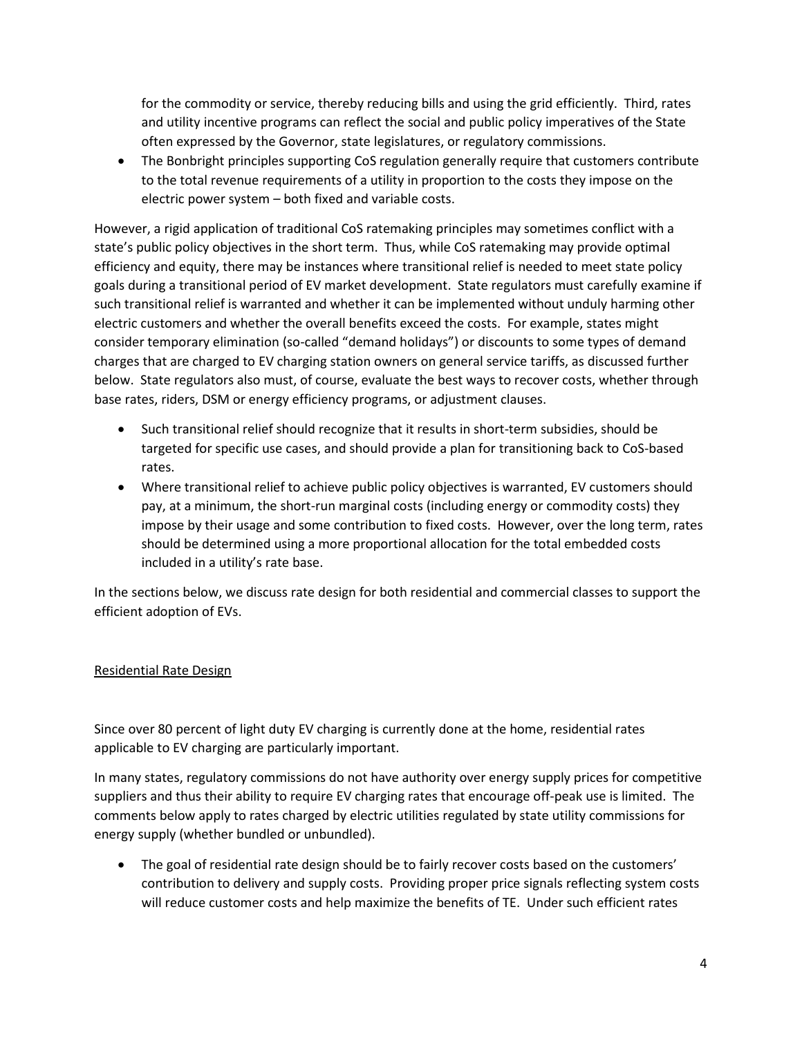for the commodity or service, thereby reducing bills and using the grid efficiently. Third, rates and utility incentive programs can reflect the social and public policy imperatives of the State often expressed by the Governor, state legislatures, or regulatory commissions.

• The Bonbright principles supporting CoS regulation generally require that customers contribute to the total revenue requirements of a utility in proportion to the costs they impose on the electric power system – both fixed and variable costs.

However, a rigid application of traditional CoS ratemaking principles may sometimes conflict with a state's public policy objectives in the short term. Thus, while CoS ratemaking may provide optimal efficiency and equity, there may be instances where transitional relief is needed to meet state policy goals during a transitional period of EV market development. State regulators must carefully examine if such transitional relief is warranted and whether it can be implemented without unduly harming other electric customers and whether the overall benefits exceed the costs. For example, states might consider temporary elimination (so-called "demand holidays") or discounts to some types of demand charges that are charged to EV charging station owners on general service tariffs, as discussed further below. State regulators also must, of course, evaluate the best ways to recover costs, whether through base rates, riders, DSM or energy efficiency programs, or adjustment clauses.

- Such transitional relief should recognize that it results in short-term subsidies, should be targeted for specific use cases, and should provide a plan for transitioning back to CoS-based rates.
- Where transitional relief to achieve public policy objectives is warranted, EV customers should pay, at a minimum, the short-run marginal costs (including energy or commodity costs) they impose by their usage and some contribution to fixed costs. However, over the long term, rates should be determined using a more proportional allocation for the total embedded costs included in a utility's rate base.

In the sections below, we discuss rate design for both residential and commercial classes to support the efficient adoption of EVs.

## Residential Rate Design

Since over 80 percent of light duty EV charging is currently done at the home, residential rates applicable to EV charging are particularly important.

In many states, regulatory commissions do not have authority over energy supply prices for competitive suppliers and thus their ability to require EV charging rates that encourage off-peak use is limited. The comments below apply to rates charged by electric utilities regulated by state utility commissions for energy supply (whether bundled or unbundled).

• The goal of residential rate design should be to fairly recover costs based on the customers' contribution to delivery and supply costs. Providing proper price signals reflecting system costs will reduce customer costs and help maximize the benefits of TE. Under such efficient rates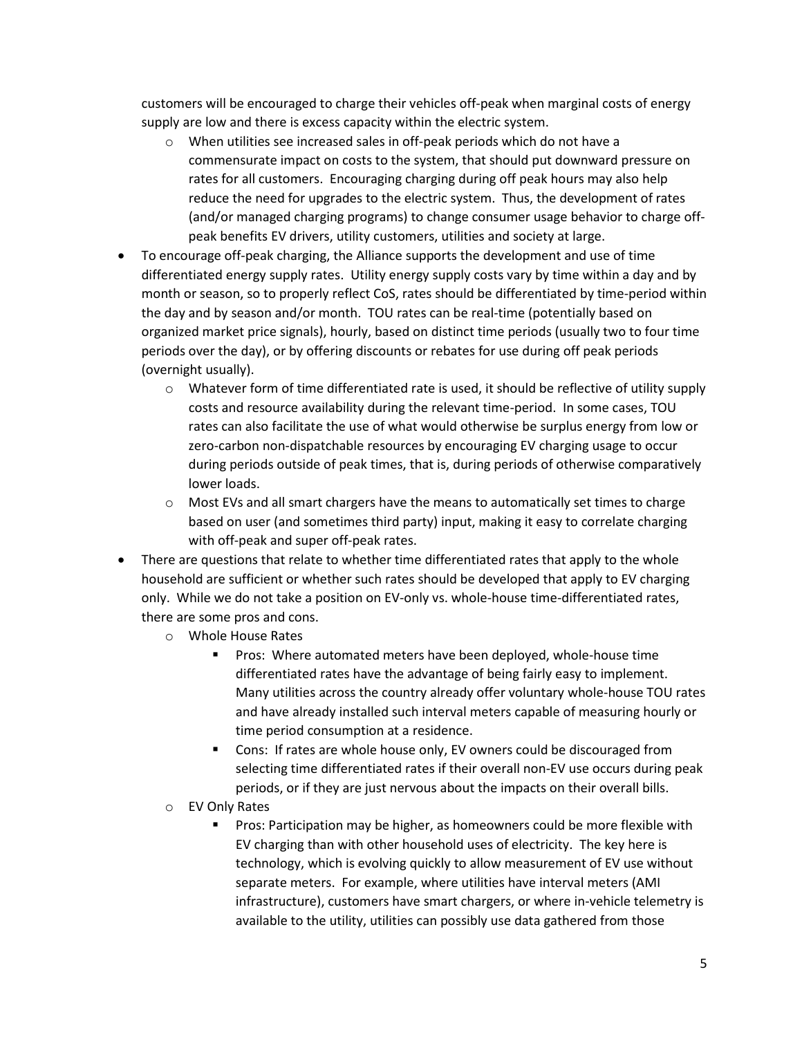customers will be encouraged to charge their vehicles off-peak when marginal costs of energy supply are low and there is excess capacity within the electric system.

- o When utilities see increased sales in off-peak periods which do not have a commensurate impact on costs to the system, that should put downward pressure on rates for all customers. Encouraging charging during off peak hours may also help reduce the need for upgrades to the electric system. Thus, the development of rates (and/or managed charging programs) to change consumer usage behavior to charge offpeak benefits EV drivers, utility customers, utilities and society at large.
- To encourage off-peak charging, the Alliance supports the development and use of time differentiated energy supply rates. Utility energy supply costs vary by time within a day and by month or season, so to properly reflect CoS, rates should be differentiated by time-period within the day and by season and/or month. TOU rates can be real-time (potentially based on organized market price signals), hourly, based on distinct time periods (usually two to four time periods over the day), or by offering discounts or rebates for use during off peak periods (overnight usually).
	- $\circ$  Whatever form of time differentiated rate is used, it should be reflective of utility supply costs and resource availability during the relevant time-period. In some cases, TOU rates can also facilitate the use of what would otherwise be surplus energy from low or zero-carbon non-dispatchable resources by encouraging EV charging usage to occur during periods outside of peak times, that is, during periods of otherwise comparatively lower loads.
	- $\circ$  Most EVs and all smart chargers have the means to automatically set times to charge based on user (and sometimes third party) input, making it easy to correlate charging with off-peak and super off-peak rates.
- There are questions that relate to whether time differentiated rates that apply to the whole household are sufficient or whether such rates should be developed that apply to EV charging only. While we do not take a position on EV-only vs. whole-house time-differentiated rates, there are some pros and cons.
	- o Whole House Rates
		- **Pros: Where automated meters have been deployed, whole-house time** differentiated rates have the advantage of being fairly easy to implement. Many utilities across the country already offer voluntary whole-house TOU rates and have already installed such interval meters capable of measuring hourly or time period consumption at a residence.
		- **Cons: If rates are whole house only, EV owners could be discouraged from** selecting time differentiated rates if their overall non-EV use occurs during peak periods, or if they are just nervous about the impacts on their overall bills.
	- o EV Only Rates
		- **Pros: Participation may be higher, as homeowners could be more flexible with** EV charging than with other household uses of electricity. The key here is technology, which is evolving quickly to allow measurement of EV use without separate meters. For example, where utilities have interval meters (AMI infrastructure), customers have smart chargers, or where in-vehicle telemetry is available to the utility, utilities can possibly use data gathered from those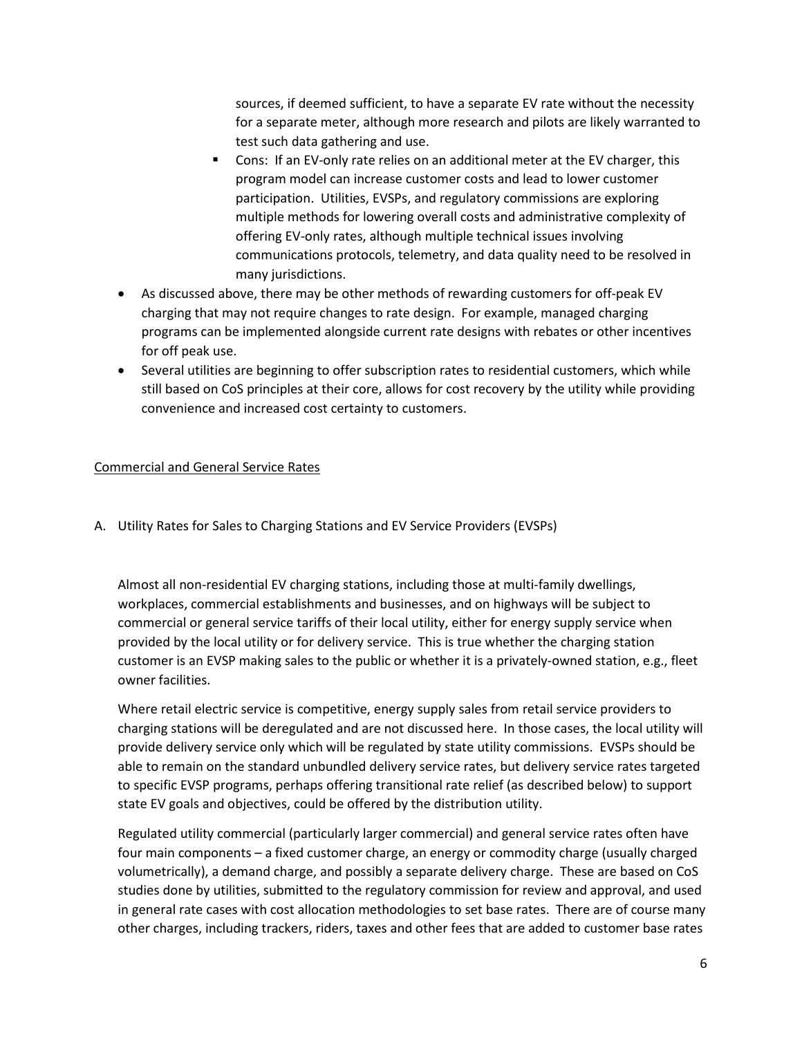sources, if deemed sufficient, to have a separate EV rate without the necessity for a separate meter, although more research and pilots are likely warranted to test such data gathering and use.

- Cons: If an EV-only rate relies on an additional meter at the EV charger, this program model can increase customer costs and lead to lower customer participation. Utilities, EVSPs, and regulatory commissions are exploring multiple methods for lowering overall costs and administrative complexity of offering EV-only rates, although multiple technical issues involving communications protocols, telemetry, and data quality need to be resolved in many jurisdictions.
- As discussed above, there may be other methods of rewarding customers for off-peak EV charging that may not require changes to rate design. For example, managed charging programs can be implemented alongside current rate designs with rebates or other incentives for off peak use.
- Several utilities are beginning to offer subscription rates to residential customers, which while still based on CoS principles at their core, allows for cost recovery by the utility while providing convenience and increased cost certainty to customers.

## Commercial and General Service Rates

A. Utility Rates for Sales to Charging Stations and EV Service Providers (EVSPs)

Almost all non-residential EV charging stations, including those at multi-family dwellings, workplaces, commercial establishments and businesses, and on highways will be subject to commercial or general service tariffs of their local utility, either for energy supply service when provided by the local utility or for delivery service. This is true whether the charging station customer is an EVSP making sales to the public or whether it is a privately-owned station, e.g., fleet owner facilities.

Where retail electric service is competitive, energy supply sales from retail service providers to charging stations will be deregulated and are not discussed here. In those cases, the local utility will provide delivery service only which will be regulated by state utility commissions. EVSPs should be able to remain on the standard unbundled delivery service rates, but delivery service rates targeted to specific EVSP programs, perhaps offering transitional rate relief (as described below) to support state EV goals and objectives, could be offered by the distribution utility.

Regulated utility commercial (particularly larger commercial) and general service rates often have four main components – a fixed customer charge, an energy or commodity charge (usually charged volumetrically), a demand charge, and possibly a separate delivery charge. These are based on CoS studies done by utilities, submitted to the regulatory commission for review and approval, and used in general rate cases with cost allocation methodologies to set base rates. There are of course many other charges, including trackers, riders, taxes and other fees that are added to customer base rates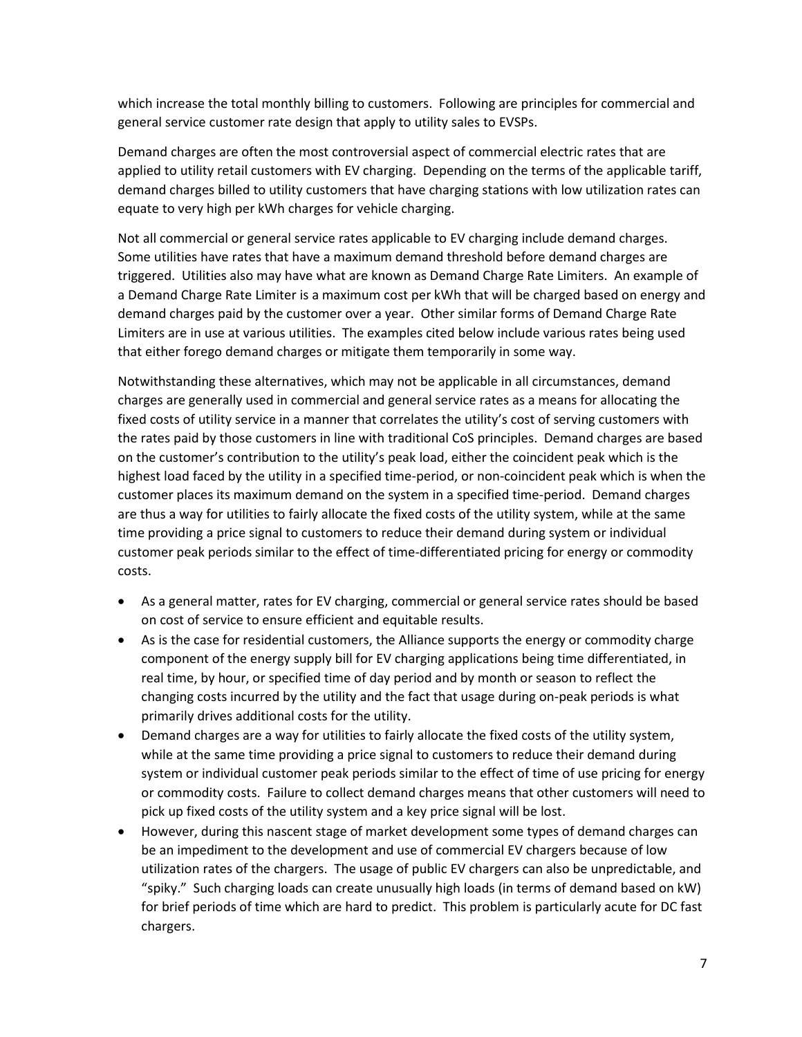which increase the total monthly billing to customers. Following are principles for commercial and general service customer rate design that apply to utility sales to EVSPs.

Demand charges are often the most controversial aspect of commercial electric rates that are applied to utility retail customers with EV charging. Depending on the terms of the applicable tariff, demand charges billed to utility customers that have charging stations with low utilization rates can equate to very high per kWh charges for vehicle charging.

Not all commercial or general service rates applicable to EV charging include demand charges. Some utilities have rates that have a maximum demand threshold before demand charges are triggered. Utilities also may have what are known as Demand Charge Rate Limiters. An example of a Demand Charge Rate Limiter is a maximum cost per kWh that will be charged based on energy and demand charges paid by the customer over a year. Other similar forms of Demand Charge Rate Limiters are in use at various utilities. The examples cited below include various rates being used that either forego demand charges or mitigate them temporarily in some way.

Notwithstanding these alternatives, which may not be applicable in all circumstances, demand charges are generally used in commercial and general service rates as a means for allocating the fixed costs of utility service in a manner that correlates the utility's cost of serving customers with the rates paid by those customers in line with traditional CoS principles. Demand charges are based on the customer's contribution to the utility's peak load, either the coincident peak which is the highest load faced by the utility in a specified time-period, or non-coincident peak which is when the customer places its maximum demand on the system in a specified time-period. Demand charges are thus a way for utilities to fairly allocate the fixed costs of the utility system, while at the same time providing a price signal to customers to reduce their demand during system or individual customer peak periods similar to the effect of time-differentiated pricing for energy or commodity costs.

- As a general matter, rates for EV charging, commercial or general service rates should be based on cost of service to ensure efficient and equitable results.
- As is the case for residential customers, the Alliance supports the energy or commodity charge component of the energy supply bill for EV charging applications being time differentiated, in real time, by hour, or specified time of day period and by month or season to reflect the changing costs incurred by the utility and the fact that usage during on-peak periods is what primarily drives additional costs for the utility.
- Demand charges are a way for utilities to fairly allocate the fixed costs of the utility system, while at the same time providing a price signal to customers to reduce their demand during system or individual customer peak periods similar to the effect of time of use pricing for energy or commodity costs. Failure to collect demand charges means that other customers will need to pick up fixed costs of the utility system and a key price signal will be lost.
- However, during this nascent stage of market development some types of demand charges can be an impediment to the development and use of commercial EV chargers because of low utilization rates of the chargers. The usage of public EV chargers can also be unpredictable, and "spiky." Such charging loads can create unusually high loads (in terms of demand based on kW) for brief periods of time which are hard to predict. This problem is particularly acute for DC fast chargers.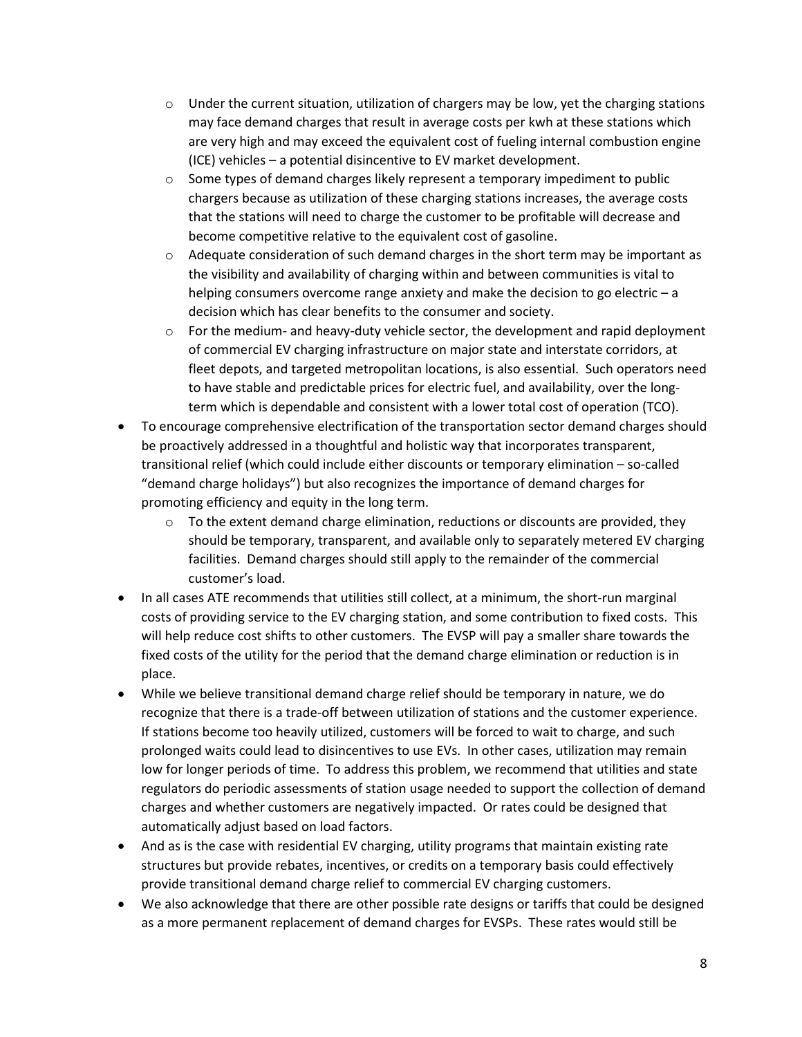- $\circ$  Under the current situation, utilization of chargers may be low, yet the charging stations may face demand charges that result in average costs per kwh at these stations which are very high and may exceed the equivalent cost of fueling internal combustion engine (ICE) vehicles – a potential disincentive to EV market development.
- $\circ$  Some types of demand charges likely represent a temporary impediment to public chargers because as utilization of these charging stations increases, the average costs that the stations will need to charge the customer to be profitable will decrease and become competitive relative to the equivalent cost of gasoline.
- $\circ$  Adequate consideration of such demand charges in the short term may be important as the visibility and availability of charging within and between communities is vital to helping consumers overcome range anxiety and make the decision to go electric – a decision which has clear benefits to the consumer and society.
- $\circ$  For the medium- and heavy-duty vehicle sector, the development and rapid deployment of commercial EV charging infrastructure on major state and interstate corridors, at fleet depots, and targeted metropolitan locations, is also essential. Such operators need to have stable and predictable prices for electric fuel, and availability, over the longterm which is dependable and consistent with a lower total cost of operation (TCO).
- To encourage comprehensive electrification of the transportation sector demand charges should be proactively addressed in a thoughtful and holistic way that incorporates transparent, transitional relief (which could include either discounts or temporary elimination – so-called "demand charge holidays") but also recognizes the importance of demand charges for promoting efficiency and equity in the long term.
	- $\circ$  To the extent demand charge elimination, reductions or discounts are provided, they should be temporary, transparent, and available only to separately metered EV charging facilities. Demand charges should still apply to the remainder of the commercial customer's load.
- In all cases ATE recommends that utilities still collect, at a minimum, the short-run marginal costs of providing service to the EV charging station, and some contribution to fixed costs. This will help reduce cost shifts to other customers. The EVSP will pay a smaller share towards the fixed costs of the utility for the period that the demand charge elimination or reduction is in place.
- While we believe transitional demand charge relief should be temporary in nature, we do recognize that there is a trade-off between utilization of stations and the customer experience. If stations become too heavily utilized, customers will be forced to wait to charge, and such prolonged waits could lead to disincentives to use EVs. In other cases, utilization may remain low for longer periods of time. To address this problem, we recommend that utilities and state regulators do periodic assessments of station usage needed to support the collection of demand charges and whether customers are negatively impacted. Or rates could be designed that automatically adjust based on load factors.
- And as is the case with residential EV charging, utility programs that maintain existing rate structures but provide rebates, incentives, or credits on a temporary basis could effectively provide transitional demand charge relief to commercial EV charging customers.
- We also acknowledge that there are other possible rate designs or tariffs that could be designed as a more permanent replacement of demand charges for EVSPs. These rates would still be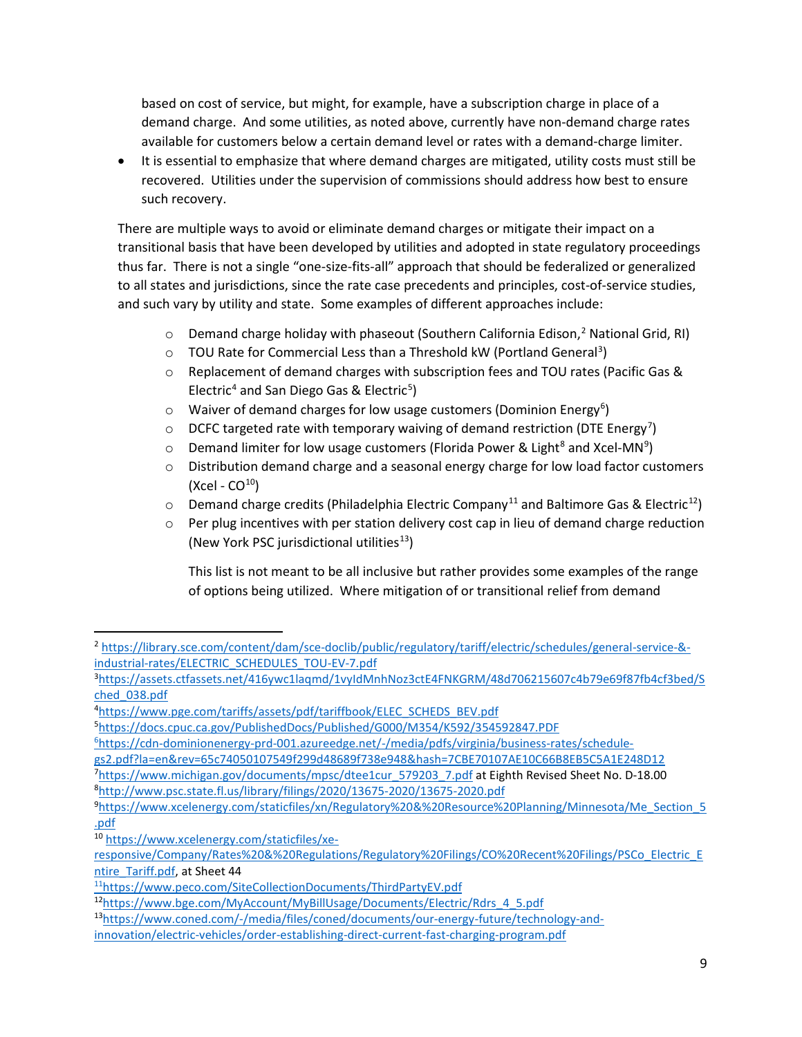based on cost of service, but might, for example, have a subscription charge in place of a demand charge. And some utilities, as noted above, currently have non-demand charge rates available for customers below a certain demand level or rates with a demand-charge limiter.

• It is essential to emphasize that where demand charges are mitigated, utility costs must still be recovered. Utilities under the supervision of commissions should address how best to ensure such recovery.

There are multiple ways to avoid or eliminate demand charges or mitigate their impact on a transitional basis that have been developed by utilities and adopted in state regulatory proceedings thus far. There is not a single "one-size-fits-all" approach that should be federalized or generalized to all states and jurisdictions, since the rate case precedents and principles, cost-of-service studies, and such vary by utility and state. Some examples of different approaches include:

- $\circ$  Demand charge holiday with phaseout (Southern California Edison,<sup>[2](#page-8-0)</sup> National Grid, RI)
- $\circ$  TOU Rate for Commercial Less than a Threshold kW (Portland General<sup>[3](#page-8-1)</sup>)
- o Replacement of demand charges with subscription fees and TOU rates (Pacific Gas & Electric<sup>[4](#page-8-2)</sup> and San Diego Gas & Electric<sup>[5](#page-8-3)</sup>)
- $\circ$  Waiver of demand charges for low usage customers (Dominion Energy<sup>[6](#page-8-4)</sup>)
- $\circ$  DCFC targeted rate with temporary waiving of demand restriction (DTE Energy<sup>[7](#page-8-5)</sup>)
- $\circ$  Demand limiter for low usage customers (Florida Power & Light<sup>[8](#page-8-6)</sup> and Xcel-MN<sup>[9](#page-8-7)</sup>)
- $\circ$  Distribution demand charge and a seasonal energy charge for low load factor customers  $(Xcel - CO<sup>10</sup>)$
- $\circ$  Demand charge credits (Philadelphia Electric Company<sup>[11](#page-8-9)</sup> and Baltimore Gas & Electric<sup>12</sup>)
- $\circ$  Per plug incentives with per station delivery cost cap in lieu of demand charge reduction (New York PSC jurisdictional utilities $13$ )

This list is not meant to be all inclusive but rather provides some examples of the range of options being utilized. Where mitigation of or transitional relief from demand

<span id="page-8-11"></span>1[3https://www.coned.com/-/media/files/coned/documents/our-energy-future/technology-and-](https://www.coned.com/-/media/files/coned/documents/our-energy-future/technology-and-innovation/electric-vehicles/order-establishing-direct-current-fast-charging-program.pdf)

<span id="page-8-0"></span><sup>2</sup> [https://library.sce.com/content/dam/sce-doclib/public/regulatory/tariff/electric/schedules/general-service-&](https://library.sce.com/content/dam/sce-doclib/public/regulatory/tariff/electric/schedules/general-service-&-industrial-rates/ELECTRIC_SCHEDULES_TOU-EV-7.pdf) [industrial-rates/ELECTRIC\\_SCHEDULES\\_TOU-EV-7.pdf](https://library.sce.com/content/dam/sce-doclib/public/regulatory/tariff/electric/schedules/general-service-&-industrial-rates/ELECTRIC_SCHEDULES_TOU-EV-7.pdf)

<span id="page-8-1"></span><sup>3</sup> [https://assets.ctfassets.net/416ywc1laqmd/1vyIdMnhNoz3ctE4FNKGRM/48d706215607c4b79e69f87fb4cf3bed/S](https://assets.ctfassets.net/416ywc1laqmd/1vyIdMnhNoz3ctE4FNKGRM/48d706215607c4b79e69f87fb4cf3bed/Sched_038.pdf) [ched\\_038.pdf](https://assets.ctfassets.net/416ywc1laqmd/1vyIdMnhNoz3ctE4FNKGRM/48d706215607c4b79e69f87fb4cf3bed/Sched_038.pdf)

<span id="page-8-2"></span><sup>4</sup> [https://www.pge.com/tariffs/assets/pdf/tariffbook/ELEC\\_SCHEDS\\_BEV.pdf](https://www.pge.com/tariffs/assets/pdf/tariffbook/ELEC_SCHEDS_BEV.pdf)

<span id="page-8-3"></span><sup>5</sup> <https://docs.cpuc.ca.gov/PublishedDocs/Published/G000/M354/K592/354592847.PDF>

<span id="page-8-4"></span><sup>6</sup> https://cdn-dominionenergy-prd-001.azureedge.net/-/media/pdfs/virginia/business-rates/schedule-

<span id="page-8-5"></span>gs2.pdf?la=en&rev=65c74050107549f299d48689f738e948&hash=7CBE70107AE10C66B8EB5C5A1E248D12

<sup>&</sup>lt;sup>7</sup>[https://www.michigan.gov/documents/mpsc/dtee1cur\\_579203\\_7.pdf](https://www.michigan.gov/documents/mpsc/dtee1cur_579203_7.pdf) at Eighth Revised Sheet No. D-18.00 8 <http://www.psc.state.fl.us/library/filings/2020/13675-2020/13675-2020.pdf>

<span id="page-8-7"></span><span id="page-8-6"></span><sup>9</sup> [https://www.xcelenergy.com/staticfiles/xn/Regulatory%20&%20Resource%20Planning/Minnesota/Me\\_Section\\_5](https://www.xcelenergy.com/staticfiles/xn/Regulatory%20&%20Resource%20Planning/Minnesota/Me_Section_5.pdf) [.pdf](https://www.xcelenergy.com/staticfiles/xn/Regulatory%20&%20Resource%20Planning/Minnesota/Me_Section_5.pdf)

<span id="page-8-8"></span><sup>10</sup> [https://www.xcelenergy.com/staticfiles/xe-](https://www.xcelenergy.com/staticfiles/xe-responsive/Company/Rates%20&%20Regulations/Regulatory%20Filings/CO%20Recent%20Filings/PSCo_Electric_Entire_Tariff.pdf)

[responsive/Company/Rates%20&%20Regulations/Regulatory%20Filings/CO%20Recent%20Filings/PSCo\\_Electric\\_E](https://www.xcelenergy.com/staticfiles/xe-responsive/Company/Rates%20&%20Regulations/Regulatory%20Filings/CO%20Recent%20Filings/PSCo_Electric_Entire_Tariff.pdf) [ntire\\_Tariff.pdf,](https://www.xcelenergy.com/staticfiles/xe-responsive/Company/Rates%20&%20Regulations/Regulatory%20Filings/CO%20Recent%20Filings/PSCo_Electric_Entire_Tariff.pdf) at Sheet 44

<span id="page-8-9"></span><sup>11</sup>https://www.peco.com/SiteCollectionDocuments/ThirdPartyEV.pdf

<span id="page-8-10"></span><sup>1</sup>[2https://www.bge.com/MyAccount/MyBillUsage/Documents/Electric/Rdrs\\_4\\_5.pdf](https://www.bge.com/MyAccount/MyBillUsage/Documents/Electric/Rdrs_4_5.pdf)

[innovation/electric-vehicles/order-establishing-direct-current-fast-charging-program.pdf](https://www.coned.com/-/media/files/coned/documents/our-energy-future/technology-and-innovation/electric-vehicles/order-establishing-direct-current-fast-charging-program.pdf)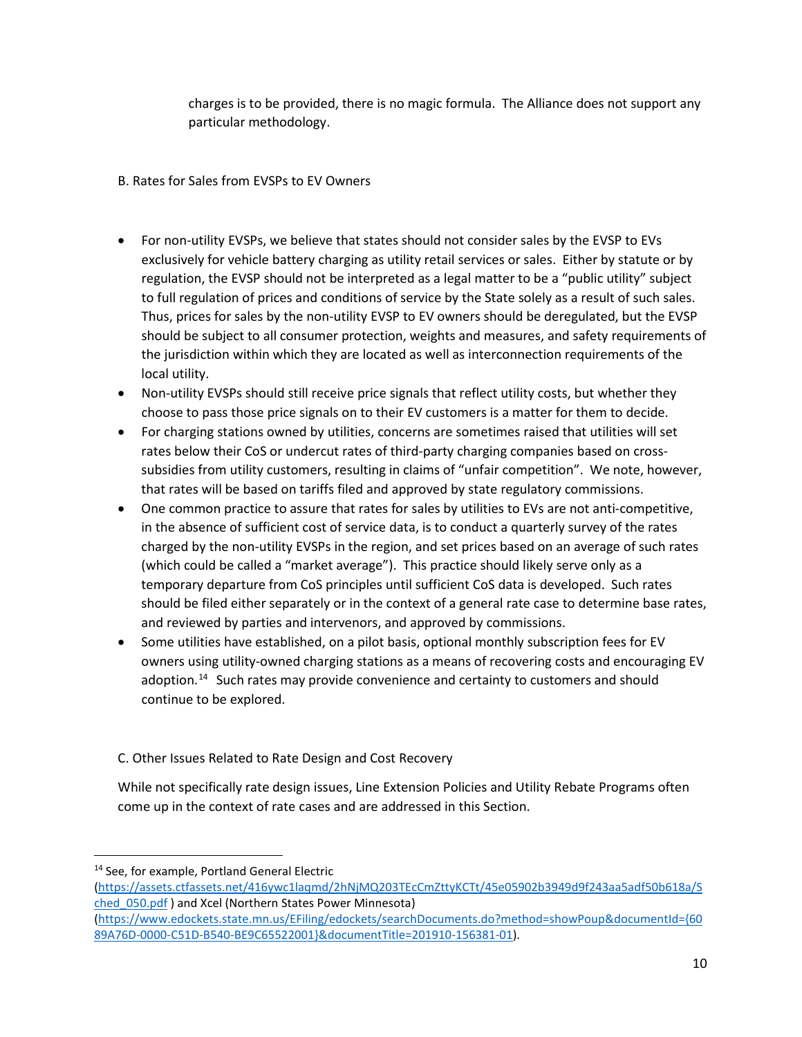charges is to be provided, there is no magic formula. The Alliance does not support any particular methodology.

- B. Rates for Sales from EVSPs to EV Owners
- For non-utility EVSPs, we believe that states should not consider sales by the EVSP to EVs exclusively for vehicle battery charging as utility retail services or sales. Either by statute or by regulation, the EVSP should not be interpreted as a legal matter to be a "public utility" subject to full regulation of prices and conditions of service by the State solely as a result of such sales. Thus, prices for sales by the non-utility EVSP to EV owners should be deregulated, but the EVSP should be subject to all consumer protection, weights and measures, and safety requirements of the jurisdiction within which they are located as well as interconnection requirements of the local utility.
- Non-utility EVSPs should still receive price signals that reflect utility costs, but whether they choose to pass those price signals on to their EV customers is a matter for them to decide.
- For charging stations owned by utilities, concerns are sometimes raised that utilities will set rates below their CoS or undercut rates of third-party charging companies based on crosssubsidies from utility customers, resulting in claims of "unfair competition". We note, however, that rates will be based on tariffs filed and approved by state regulatory commissions.
- One common practice to assure that rates for sales by utilities to EVs are not anti-competitive, in the absence of sufficient cost of service data, is to conduct a quarterly survey of the rates charged by the non-utility EVSPs in the region, and set prices based on an average of such rates (which could be called a "market average"). This practice should likely serve only as a temporary departure from CoS principles until sufficient CoS data is developed. Such rates should be filed either separately or in the context of a general rate case to determine base rates, and reviewed by parties and intervenors, and approved by commissions.
- Some utilities have established, on a pilot basis, optional monthly subscription fees for EV owners using utility-owned charging stations as a means of recovering costs and encouraging EV adoption.<sup>[14](#page-9-0)</sup> Such rates may provide convenience and certainty to customers and should continue to be explored.
- C. Other Issues Related to Rate Design and Cost Recovery

While not specifically rate design issues, Line Extension Policies and Utility Rebate Programs often come up in the context of rate cases and are addressed in this Section.

<span id="page-9-0"></span><sup>&</sup>lt;sup>14</sup> See, for example, Portland General Electric

[<sup>\(</sup>https://assets.ctfassets.net/416ywc1laqmd/2hNjMQ203TEcCmZttyKCTt/45e05902b3949d9f243aa5adf50b618a/S](https://assets.ctfassets.net/416ywc1laqmd/2hNjMQ203TEcCmZttyKCTt/45e05902b3949d9f243aa5adf50b618a/Sched_050.pdf) [ched\\_050.pdf](https://assets.ctfassets.net/416ywc1laqmd/2hNjMQ203TEcCmZttyKCTt/45e05902b3949d9f243aa5adf50b618a/Sched_050.pdf) ) and Xcel (Northern States Power Minnesota)

[<sup>\(</sup>https://www.edockets.state.mn.us/EFiling/edockets/searchDocuments.do?method=showPoup&documentId={60](https://www.edockets.state.mn.us/EFiling/edockets/searchDocuments.do?method=showPoup&documentId=%7b6089A76D-0000-C51D-B540-BE9C65522001%7d&documentTitle=201910-156381-01) [89A76D-0000-C51D-B540-BE9C65522001}&documentTitle=201910-156381-01\)](https://www.edockets.state.mn.us/EFiling/edockets/searchDocuments.do?method=showPoup&documentId=%7b6089A76D-0000-C51D-B540-BE9C65522001%7d&documentTitle=201910-156381-01).